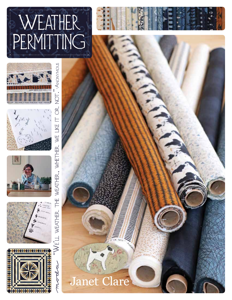





Weather, Whether

 $\geqslant$ ப

NOT. ANONYMOUS  $\ddot{\bullet}$ 









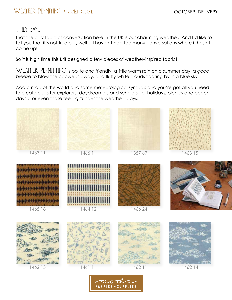## WEATHER PERMITING • JANET CLARE

## They say…

that the only topic of conversation here in the UK is our charming weather. And I'd like to tell you that it's not true but, well… I haven't had too many conversations where it hasn't come up!

So it is high time this Brit designed a few pieces of weather-inspired fabric!

WEATHER PERMITTING is polite and friendly: a little warm rain on a summer day, a good breeze to blow the cobwebs away, and fluffy white clouds floating by in a blue sky.

Add a map of the world and some meteorological symbols and you're got all you need to create quilts for explorers, daydreamers and scholars, for holidays, picnics and beach days… or even those feeling "under the weather" days.



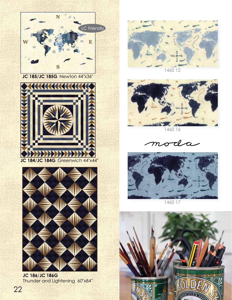

**JC 185**/**JC 185G** Newton 44"x36"





**JC 186**/**JC 186G** Thunder and Lightening 60"x84"



1460 12



1460 16

moda



1460 17